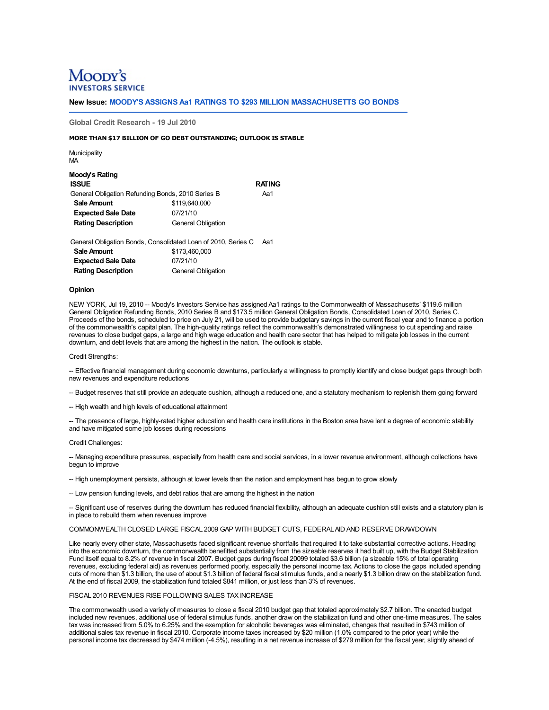# Moody's **ERVICE**

**New Issue: MOODY'S ASSIGNS Aa1 RATINGS TO \$293 MILLION MASSACHUSETTS GO BONDS**

**Global Credit Research - 19 Jul 2010**

#### **MORE THAN \$17 BILLION OF GO DEBT OUTSTANDING; OUTLOOK IS STABLE**

**Municipality** MA

| Moody's Rating<br><b>ISSUE</b>                    |                           | <b>RATING</b> |
|---------------------------------------------------|---------------------------|---------------|
| General Obligation Refunding Bonds, 2010 Series B |                           | Aa1           |
| Sale Amount                                       | \$119,640,000             |               |
| <b>Expected Sale Date</b>                         | 07/21/10                  |               |
| <b>Rating Description</b>                         | <b>General Obligation</b> |               |

General Obligation Bonds, Consolidated Loan of 2010, Series C Aa1 **Sale Amount** \$173,460,000 **Expected Sale Date** 07/21/10 **Rating Description General Obligation** 

#### **Opinion**

NEW YORK, Jul 19, 2010 -- Moody's Investors Service has assigned Aa1 ratings to the Commonwealth of Massachusetts' \$119.6 million<br>General Obligation Refunding Bonds, 2010 Series B and \$173.5 million General Obligation Bond Proceeds of the bonds, scheduled to price on July 21, will be used to provide budgetary savings in the current fiscal year and to finance a portion of the commonwealth's capital plan. The high-quality ratings reflect the commonwealth's demonstrated willingness to cut spending and raise revenues to close budget gaps, a large and high wage education and health care sector that has helped to mitigate job losses in the current downturn, and debt levels that are among the highest in the nation. The outlook is stable.

Credit Strengths:

-- Effective financial management during economic downturns, particularly a willingness to promptly identify and close budget gaps through both new revenues and expenditure reductions

-- Budget reserves that still provide an adequate cushion, although a reduced one, and a statutory mechanism to replenish them going forward

-- High wealth and high levels of educational attainment

-- The presence of large, highly-rated higher education and health care institutions in the Boston area have lent a degree of economic stability and have mitigated some job losses during recessions

Credit Challenges:

-- Managing expenditure pressures, especially from health care and social services, in a lower revenue environment, although collections have begun to improve

-- High unemployment persists, although at lower levels than the nation and employment has begun to grow slowly

-- Low pension funding levels, and debt ratios that are among the highest in the nation

-- Significant use of reserves during the downturn has reduced financial flexibility, although an adequate cushion still exists and a statutory plan is in place to rebuild them when revenues improve

COMMONWEALTH CLOSED LARGE FISCAL 2009 GAP WITH BUDGET CUTS, FEDERALAID AND RESERVE DRAWDOWN

Like nearly every other state, Massachusetts faced significant revenue shortfalls that required it to take substantial corrective actions. Heading into the economic downturn, the commonwealth benefitted substantially from the sizeable reserves it had built up, with the Budget Stabilization Fund itself equal to 8.2% of revenue in fiscal 2007. Budget gaps during fiscal 20099 totaled \$3.6 billion (a sizeable 15% of total operating revenues, excluding federal aid) as revenues performed poorly, especially the personal income tax. Actions to close the gaps included spending cuts of more than \$1.3 billion, the use of about \$1.3 billion of federal fiscal stimulus funds, and a nearly \$1.3 billion draw on the stabilization fund. At the end of fiscal 2009, the stabilization fund totaled \$841 million, or just less than 3% of revenues.

#### FISCAL 2010 REVENUES RISE FOLLOWING SALES TAX INCREASE

The commonwealth used a variety of measures to close a fiscal 2010 budget gap that totaled approximately \$2.7 billion. The enacted budget included new revenues, additional use of federal stimulus funds, another draw on the stabilization fund and other one-time measures. The sales tax was increased from 5.0% to 6.25% and the exemption for alcoholic beverages was eliminated, changes that resulted in \$743 million of additional sales tax revenue in fiscal 2010. Corporate income taxes increased by \$20 million (1.0% compared to the prior year) while the personal income tax decreased by \$474 million (-4.5%), resulting in a net revenue increase of \$279 million for the fiscal year, slightly ahead of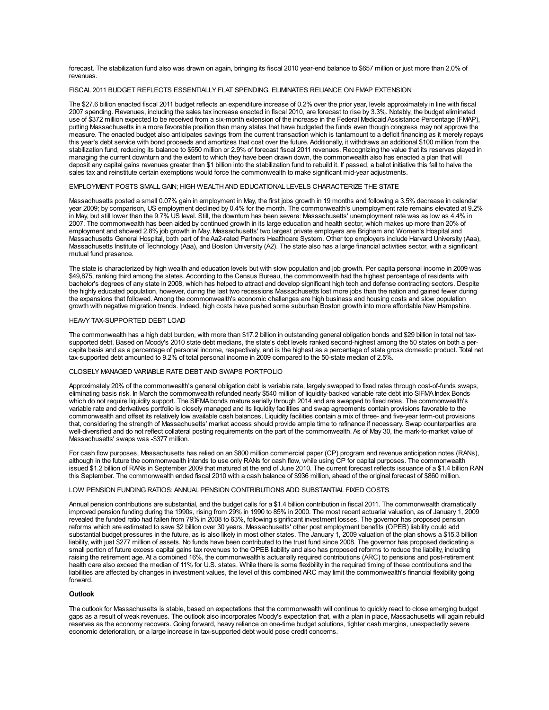forecast. The stabilization fund also was drawn on again, bringing its fiscal 2010 year-end balance to \$657 million or just more than 2.0% of revenues.

### FISCAL 2011 BUDGET REFLECTS ESSENTIALLY FLAT SPENDING, ELIMINATES RELIANCE ON FMAP EXTENSION

The \$27.6 billion enacted fiscal 2011 budget reflects an expenditure increase of 0.2% over the prior year, levels approximately in line with fiscal 2007 spending. Revenues, including the sales tax increase enacted in fiscal 2010, are forecast to rise by 3.3%. Notably, the budget eliminated use of \$372 million expected to be received from a six-month extension of the increase in the Federal Medicaid Assistance Percentage (FMAP), putting Massachusetts in a more favorable position than many states that have bud measure. The enacted budget also anticipates savings from the current transaction which is tantamount to a deficit financing as it merely repays this year's debt service with bond proceeds and amortizes that cost over the future. Additionally, it withdraws an additional \$100 million from the<br>stabilization fund, reducing its balance to \$550 million or 2.9% of foreca managing the current downturn and the extent to which they have been drawn down, the commonwealth also has enacted a plan that will deposit any capital gains revenues greater than \$1 billion into the stabilization fund to rebuild it. If passed, a ballot initiative this fall to halve the sales tax and reinstitute certain exemptions would force the commonwealth to make significant mid-year adjustments.

## EMPLOYMENT POSTS SMALLGAIN; HIGH WEALTHAND EDUCATIONAL LEVELS CHARACTERIZE THE STATE

Massachusetts posted a small 0.07% gain in employment in May, the first jobs growth in 19 months and following a 3.5% decrease in calendar year 2009; by comparison, US employment declined by 0.4% for the month. The commonwealth's unemployment rate remains elevated at 9.2% in May, but still lower than the 9.7% US level. Still, the downturn has been severe: Massachusetts' unemployment rate was as low as 4.4% in 2007. The commonwealth has been aided by continued growth in its large education and health sector, which makes up more than 20% of employment and showed 2.8% job growth in May. Massachusetts' two largest private employers are Brigham and Women's Hospital and<br>Massachusetts General Hospital, both part of the Aa2-rated Partners Healthcare System. Other t Massachusetts Institute of Technology (Aaa), and Boston University (A2). The state also has a large financial activities sector, with a significant mutual fund presence.

The state is characterized by high wealth and education levels but with slow population and job growth. Per capita personal income in 2009 was \$49,875, ranking third among the states. According to the Census Bureau, the commonwealth had the highest percentage of residents with bachelor's degrees of any state in 2008, which has helped to attract and develop significant high tech and defense contracting sectors. Despite the highly educated population, however, during the last two recessions Massachusetts lost more jobs than the nation and gained fewer during the expansions that followed. Among the commonwealth's economic challenges are high business and housing costs and slow population growth with negative migration trends. Indeed, high costs have pushed some suburban Boston growth into more affordable New Hampshire.

## HEAVY TAX-SUPPORTED DEBT LOAD

The commonwealth has a high debt burden, with more than \$17.2 billion in outstanding general obligation bonds and \$29 billion in total net taxsupported debt. Based on Moody's 2010 state debt medians, the state's debt levels ranked second-highest among the 50 states on both a percapita basis and as a percentage of personal income, respectively, and is the highest as a percentage of state gross domestic product. Total net tax-supported debt amounted to 9.2% of total personal income in 2009 compared to the 50-state median of 2.5%.

#### CLOSELY MANAGED VARIABLE RATE DEBT AND SWAPS PORTFOLIO

Approximately 20% of the commonwealth's general obligation debt is variable rate, largely swapped to fixed rates through cost-of-funds swaps, eliminating basis risk. In March the commonwealth refunded nearly \$540 million of liquidity-backed variable rate debt into SIFMAIndex Bonds which do not require liquidity support. The SIFMA bonds mature serially through 2014 and are swapped to fixed rates. The commonwealth's variable rate and derivatives portfolio is closely managed and its liquidity facilities and swap agreements contain provisions favorable to the commonwealth and offset its relatively low available cash balances. Liquidity facilities contain a mix of three- and five-year term-out provisions that, considering the strength of Massachusetts' market access should provide ample time to refinance if necessary. Swap counterparties are well-diversified and do not reflect collateral posting requirements on the part of the commonwealth. As of May 30, the mark-to-market value of Massachusetts' swaps was -\$377 million.

For cash flow purposes, Massachusetts has relied on an \$800 million commercial paper (CP) program and revenue anticipation notes (RANs), although in the future the commonwealth intends to use only RANs for cash flow, while using CP for capital purposes. The commonwealth issued \$1.2 billion of RANs in September 2009 that matured at the end of June 2010. The current forecast reflects issuance of a \$1.4 billion RAN this September. The commonwealth ended fiscal 2010 with a cash balance of \$936 million, ahead of the original forecast of \$860 million.

#### LOW PENSION FUNDING RATIOS; ANNUAL PENSION CONTRIBUTIONS ADD SUBSTANTIAL FIXED COSTS

Annual pension contributions are substantial, and the budget calls for a \$1.4 billion contribution in fiscal 2011. The commonwealth dramatically improved pension funding during the 1990s, rising from 29% in 1990 to 85% in 2000. The most recent actuarial valuation, as of January 1, 2009 revealed the funded ratio had fallen from 79% in 2008 to 63%, following significant investment losses. The governor has proposed pension reforms which are estimated to save \$2 billion over 30 years. Massachusetts' other post employment benefits (OPEB) liability could add substantial budget pressures in the future, as is also likely in most other states. The January 1, 2009 valuation of the plan shows a \$15.3 billion liability, with just \$277 million of assets. No funds have been contributed to the trust fund since 2008. The governor has proposed dedicating a small portion of future excess capital gains tax revenues to the OPEB liability and also has proposed reforms to reduce the liability, including raising the retirement age. At a combined 16%, the commonwealth's actuarially required contributions (ARC) to pensions and post-retirement health care also exceed the median of 11% for U.S. states. While there is some flexibility in the required timing of these contributions and the liabilities are affected by changes in investment values, the level of this combined ARC may limit the commonwealth's financial flexibility going forward.

#### **Outlook**

The outlook for Massachusetts is stable, based on expectations that the commonwealth will continue to quickly react to close emerging budget gaps as a result of weak revenues. The outlook also incorporates Moody's expectation that, with a plan in place, Massachusetts will again rebuild reserves as the economy recovers. Going forward, heavy reliance on one-time budget solutions, tighter cash margins, unexpectedly severe economic deterioration, or a large increase in tax-supported debt would pose credit concerns.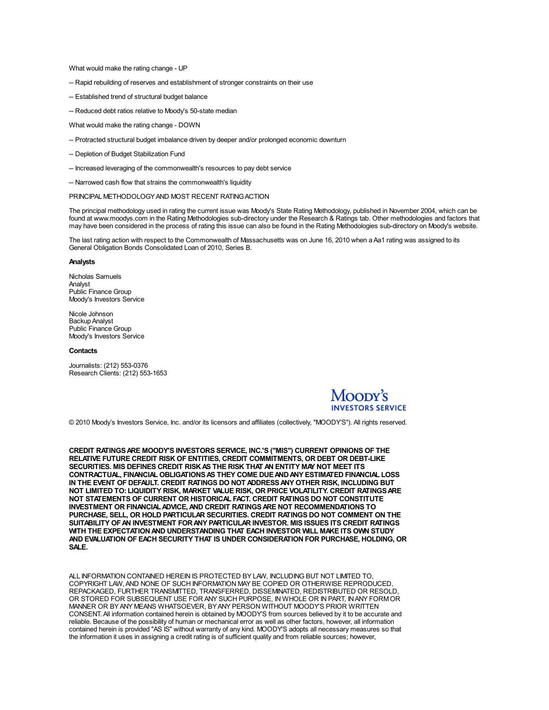What would make the rating change - UP

- -- Rapid rebuilding of reserves and establishment of stronger constraints on their use
- -- Established trend of structural budget balance
- -- Reduced debt ratios relative to Moody's 50-state median

What would make the rating change - DOWN

- -- Protracted structural budget imbalance driven by deeper and/or prolonged economic downturn
- -- Depletion of Budget Stabilization Fund
- -- Increased leveraging of the commonwealth's resources to pay debt service
- -- Narrowed cash flow that strains the commonwealth's liquidity

## PRINCIPAL METHODOLOGYAND MOST RECENT RATINGACTION

The principal methodology used in rating the current issue was Moody's State Rating Methodology, published in November 2004, which can be found at www.moodys.com in the Rating Methodologies sub-directory under the Research & Ratings tab. Other methodologies and factors that may have been considered in the process of rating this issue can also be found in the

The last rating action with respect to the Commonwealth of Massachusetts was on June 16, 2010 when a Aa1 rating was assigned to its General Obligation Bonds Consolidated Loan of 2010, Series B.

#### **Analysts**

Nicholas Samuels Analyst Public Finance Group Moody's Investors Service

Nicole Johnson Backup Analyst Public Finance Group Moody's Investors Service

#### **Contacts**

Journalists: (212) 553-0376 Research Clients: (212) 553-1653

## Moody's **VESTORS SERVICE**

© 2010 Moody's Investors Service, Inc. and/or its licensors and affiliates (collectively, "MOODY'S"). All rights reserved.

**CREDIT RATINGSARE MOODY'S INVESTORS SERVICE, INC.'S ("MIS") CURRENT OPINIONS OF THE RELATIVE FUTURE CREDIT RISK OF ENTITIES, CREDIT COMMITMENTS, OR DEBT OR DEBT-LIKE SECURITIES. MIS DEFINES CREDIT RISKAS THE RISK THAT AN ENTITY MAY NOT MEET ITS CONTRACTUAL, FINANCIAL OBLIGATIONSAS THEY COME DUEANDANY ESTIMATED FINANCIAL LOSS IN THE EVENT OF DEFAULT. CREDIT RATINGS DO NOT ADDRESSANY OTHER RISK, INCLUDING BUT NOT LIMITED TO: LIQUIDITY RISK, MARKET VALUE RISK, OR PRICE VOLATILITY. CREDIT RATINGSARE NOT STATEMENTS OF CURRENT OR HISTORICAL FACT. CREDIT RATINGS DO NOT CONSTITUTE INVESTMENT OR FINANCIALADVICE,AND CREDIT RATINGSARE NOT RECOMMENDATIONS TO PURCHASE, SELL, OR HOLD PARTICULAR SECURITIES. CREDIT RATINGS DO NOT COMMENT ON THE SUITABILITY OFAN INVESTMENT FORANY PARTICULAR INVESTOR. MIS ISSUES ITS CREDIT RATINGS WITH THE EXPECTATIONAND UNDERSTANDING THAT EACH INVESTOR WILL MAKE ITS OWN STUDY AND EVALUATION OF EACH SECURITY THAT IS UNDER CONSIDERATION FOR PURCHASE, HOLDING, OR SALE.**

ALL INFORMATION CONTAINED HEREIN IS PROTECTED BY LAW, INCLUDING BUT NOT LIMITED TO, COPYRIGHT LAW, AND NONE OF SUCH INFORMATION MAY BE COPIED OR OTHERWISE REPRODUCED, REPACKAGED, FURTHER TRANSMITTED, TRANSFERRED, DISSEMINATED, REDISTRIBUTED OR RESOLD, OR STORED FOR SUBSEQUENT USE FOR ANY SUCH PURPOSE, IN WHOLE OR IN PART, INANY FORMOR MANNER OR BYANY MEANS WHATSOEVER, BYANY PERSON WITHOUT MOODY'S PRIOR WRITTEN CONSENT. All information contained herein is obtained by MOODY'S from sources believed by it to be accurate and reliable. Because of the possibility of human or mechanical error as well as other factors, however, all information contained herein is provided "AS IS" without warranty of any kind. MOODY'S adopts all necessary measures so that the information it uses in assigning a credit rating is of sufficient quality and from reliable sources; however,